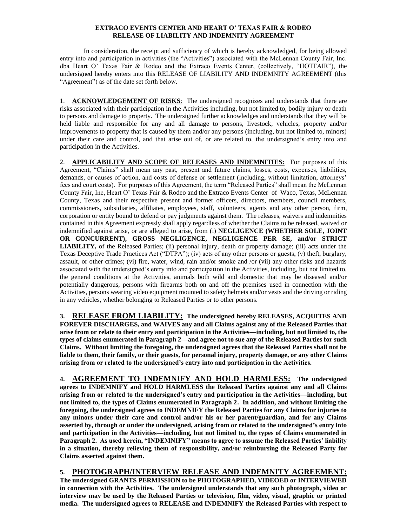## **EXTRACO EVENTS CENTER AND HEART O' TEXAS FAIR & RODEO RELEASE OF LIABILITY AND INDEMNITY AGREEMENT**

In consideration, the receipt and sufficiency of which is hereby acknowledged, for being allowed entry into and participation in activities (the "Activities") associated with the McLennan County Fair, Inc. dba Heart O' Texas Fair & Rodeo and the Extraco Events Center, (collectively, "HOTFAIR"), the undersigned hereby enters into this RELEASE OF LIABILITY AND INDEMNITY AGREEMENT (this "Agreement") as of the date set forth below.

1. **ACKNOWLEDGEMENT OF RISKS**: The undersigned recognizes and understands that there are risks associated with their participation in the Activities including, but not limited to, bodily injury or death to persons and damage to property. The undersigned further acknowledges and understands that they will be held liable and responsible for any and all damage to persons, livestock, vehicles, property and/or improvements to property that is caused by them and/or any persons (including, but not limited to, minors) under their care and control, and that arise out of, or are related to, the undersigned's entry into and participation in the Activities.

2. **APPLICABILITY AND SCOPE OF RELEASES AND INDEMNITIES:** For purposes of this Agreement, "Claims" shall mean any past, present and future claims, losses, costs, expenses, liabilities, demands, or causes of action, and costs of defense or settlement (including, without limitation, attorneys' fees and court costs). For purposes of this Agreement, the term "Released Parties" shall mean the McLennan County Fair, Inc, Heart O' Texas Fair & Rodeo and the Extraco Events Center of Waco, Texas, McLennan County, Texas and their respective present and former officers, directors, members, council members, commissioners, subsidiaries, affiliates, employees, staff, volunteers, agents and any other person, firm, corporation or entity bound to defend or pay judgments against them. The releases, waivers and indemnities contained in this Agreement expressly shall apply regardless of whether the Claims to be released, waived or indemnified against arise, or are alleged to arise, from (i) **NEGLIGENCE (WHETHER SOLE, JOINT OR CONCURRENT), GROSS NEGLIGENCE, NEGLIGENCE PER SE, and/or STRICT LIABILITY,** of the Released Parties; (ii) personal injury, death or property damage; (iii) acts under the Texas Deceptive Trade Practices Act ("DTPA"); (iv) acts of any other persons or guests; (v) theft, burglary, assault, or other crimes; (vi) fire, water, wind, rain and/or smoke and /or (vii) any other risks and hazards associated with the undersigned's entry into and participation in the Activities, including, but not limited to, the general conditions at the Activities, animals both wild and domestic that may be diseased and/or potentially dangerous, persons with firearms both on and off the premises used in connection with the Activities, persons wearing video equipment mounted to safety helmets and/or vests and the driving or riding in any vehicles, whether belonging to Released Parties or to other persons.

**3. RELEASE FROM LIABILITY: The undersigned hereby RELEASES, ACQUITES AND FOREVER DISCHARGES, and WAIVES any and all Claims against any of the Released Parties that arise from or relate to their entry and participation in the Activities—including, but not limited to, the types of claims enumerated in Paragraph 2—and agree not to sue any of the Released Parties for such Claims. Without limiting the foregoing, the undersigned agrees that the Released Parties shall not be liable to them, their family, or their guests, for personal injury, property damage, or any other Claims arising from or related to the undersigned's entry into and participation in the Activities.**

**4. AGREEMENT TO INDEMNIFY AND HOLD HARMLESS: The undersigned agrees to INDEMNIFY and HOLD HARMLESS the Released Parties against any and all Claims arising from or related to the undersigned's entry and participation in the Activities—including, but not limited to, the types of Claims enumerated in Paragraph 2. In addition, and without limiting the foregoing, the undersigned agrees to INDEMNIFY the Released Parties for any Claims for injuries to any minors under their care and control and/or his or her parent/guardian, and for any Claims asserted by, through or under the undersigned, arising from or related to the undersigned's entry into and participation in the Activities—including, but not limited to, the types of Claims enumerated in Paragraph 2. As used herein, "INDEMNIFY" means to agree to assume the Released Parties' liability in a situation, thereby relieving them of responsibility, and/or reimbursing the Released Party for Claims asserted against them.**

## **5. PHOTOGRAPH/INTERVIEW RELEASE AND INDEMNITY AGREEMENT: The undersigned GRANTS PERMISSION to be PHOTOGRAPHED, VIDEOED or INTERVIEWED**

**in connection with the Activities. The undersigned understands that any such photograph, video or interview may be used by the Released Parties or television, film, video, visual, graphic or printed media. The undersigned agrees to RELEASE and INDEMNIFY the Released Parties with respect to**